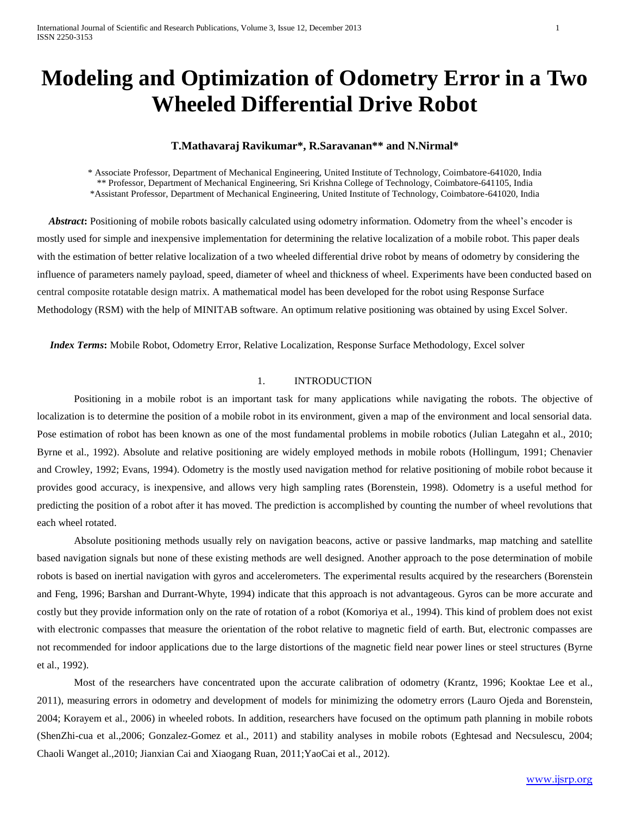# **Modeling and Optimization of Odometry Error in a Two Wheeled Differential Drive Robot**

## **T.Mathavaraj Ravikumar\*, R.Saravanan\*\* and N.Nirmal\***

\* Associate Professor, Department of Mechanical Engineering, United Institute of Technology, Coimbatore-641020, India \*\* Professor, Department of Mechanical Engineering, Sri Krishna College of Technology, Coimbatore-641105, India \*Assistant Professor, Department of Mechanical Engineering, United Institute of Technology, Coimbatore-641020, India

 *Abstract***:** Positioning of mobile robots basically calculated using odometry information. Odometry from the wheel's encoder is mostly used for simple and inexpensive implementation for determining the relative localization of a mobile robot. This paper deals with the estimation of better relative localization of a two wheeled differential drive robot by means of odometry by considering the influence of parameters namely payload, speed, diameter of wheel and thickness of wheel. Experiments have been conducted based on central composite rotatable design matrix. A mathematical model has been developed for the robot using Response Surface Methodology (RSM) with the help of MINITAB software. An optimum relative positioning was obtained by using Excel Solver.

 *Index Terms***:** Mobile Robot, Odometry Error, Relative Localization, Response Surface Methodology, Excel solver

## 1. INTRODUCTION

Positioning in a mobile robot is an important task for many applications while navigating the robots. The objective of localization is to determine the position of a mobile robot in its environment, given a map of the environment and local sensorial data. Pose estimation of robot has been known as one of the most fundamental problems in mobile robotics (Julian Lategahn et al., 2010; Byrne et al., 1992). Absolute and relative positioning are widely employed methods in mobile robots (Hollingum, 1991; Chenavier and Crowley, 1992; Evans, 1994). Odometry is the mostly used navigation method for relative positioning of mobile robot because it provides good accuracy, is inexpensive, and allows very high sampling rates (Borenstein, 1998). Odometry is a useful method for predicting the position of a robot after it has moved. The prediction is accomplished by counting the number of wheel revolutions that each wheel rotated.

Absolute positioning methods usually rely on navigation beacons, active or passive landmarks, map matching and satellite based navigation signals but none of these existing methods are well designed. Another approach to the pose determination of mobile robots is based on inertial navigation with gyros and accelerometers. The experimental results acquired by the researchers (Borenstein and Feng, 1996; Barshan and Durrant-Whyte, 1994) indicate that this approach is not advantageous. Gyros can be more accurate and costly but they provide information only on the rate of rotation of a robot (Komoriya et al., 1994). This kind of problem does not exist with electronic compasses that measure the orientation of the robot relative to magnetic field of earth. But, electronic compasses are not recommended for indoor applications due to the large distortions of the magnetic field near power lines or steel structures (Byrne et al., 1992).

Most of the researchers have concentrated upon the accurate calibration of odometry (Krantz, 1996; Kooktae Lee et al., 2011), measuring errors in odometry and development of models for minimizing the odometry errors (Lauro Ojeda and Borenstein, 2004; Korayem et al., 2006) in wheeled robots. In addition, researchers have focused on the optimum path planning in mobile robots (ShenZhi-cua et al.,2006; Gonzalez-Gomez et al., 2011) and stability analyses in mobile robots (Eghtesad and Necsulescu, 2004; Chaoli Wanget al.,2010; Jianxian Cai and Xiaogang Ruan, 2011;YaoCai et al., 2012).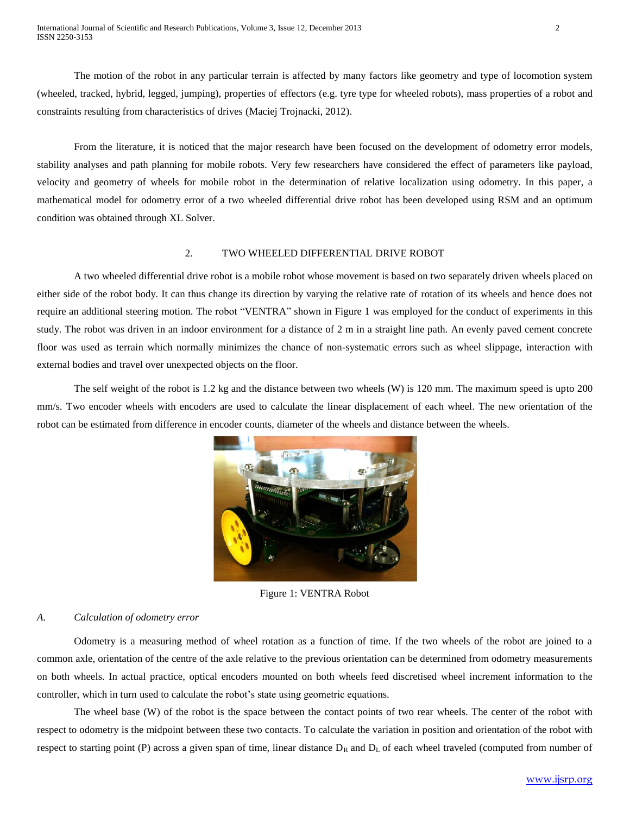The motion of the robot in any particular terrain is affected by many factors like geometry and type of locomotion system (wheeled, tracked, hybrid, legged, jumping), properties of effectors (e.g. tyre type for wheeled robots), mass properties of a robot and constraints resulting from characteristics of drives (Maciej Trojnacki, 2012).

From the literature, it is noticed that the major research have been focused on the development of odometry error models, stability analyses and path planning for mobile robots. Very few researchers have considered the effect of parameters like payload, velocity and geometry of wheels for mobile robot in the determination of relative localization using odometry. In this paper, a mathematical model for odometry error of a two wheeled differential drive robot has been developed using RSM and an optimum condition was obtained through XL Solver.

#### 2. TWO WHEELED DIFFERENTIAL DRIVE ROBOT

A two wheeled differential drive robot is a mobile [robot](http://en.wikipedia.org/wiki/Robot) whose movement is based on two separately driven [wheels](http://en.wikipedia.org/wiki/Wheel) placed on either side of the robot body. It can thus change its direction by varying the relative rate of rotation of its wheels and hence does not require an additional steering motion. The robot "VENTRA" shown in Figure 1 was employed for the conduct of experiments in this study. The robot was driven in an indoor environment for a distance of 2 m in a straight line path. An evenly paved cement concrete floor was used as terrain which normally minimizes the chance of non-systematic errors such as wheel slippage, interaction with external bodies and travel over unexpected objects on the floor.

The self weight of the robot is 1.2 kg and the distance between two wheels (W) is 120 mm. The maximum speed is upto 200 mm/s. Two encoder wheels with encoders are used to calculate the linear displacement of each wheel. The new orientation of the robot can be estimated from difference in encoder counts, diameter of the wheels and distance between the wheels.



Figure 1: VENTRA Robot

#### *A. Calculation of odometry error*

Odometry is a measuring method of wheel rotation as a function of time. If the two wheels of the robot are joined to a common axle, orientation of the centre of the axle relative to the previous orientation can be determined from odometry measurements on both wheels. In actual practice, optical encoders mounted on both wheels feed discretised wheel increment information to the controller, which in turn used to calculate the robot's state using geometric equations.

The wheel base (W) of the robot is the space between the contact points of two rear wheels. The center of the robot with respect to odometry is the midpoint between these two contacts. To calculate the variation in position and orientation of the robot with respect to starting point (P) across a given span of time, linear distance  $D_R$  and  $D_L$  of each wheel traveled (computed from number of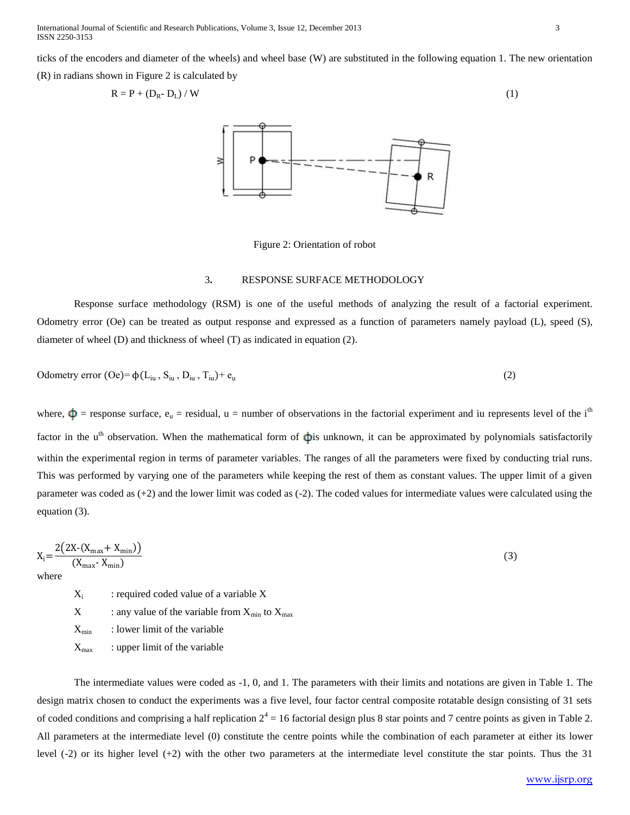International Journal of Scientific and Research Publications, Volume 3, Issue 12, December 2013 3 ISSN 2250-3153

ticks of the encoders and diameter of the wheels) and wheel base (W) are substituted in the following equation 1. The new orientation

(R) in radians shown in Figure 2 is calculated by

$$
R = P + (D_R - D_L) / W \tag{1}
$$



Figure 2: Orientation of robot

#### 3**.** RESPONSE SURFACE METHODOLOGY

Response surface methodology (RSM) is one of the useful methods of analyzing the result of a factorial experiment. Odometry error (Oe) can be treated as output response and expressed as a function of parameters namely payload (L), speed (S), diameter of wheel (D) and thickness of wheel (T) as indicated in equation (2).

Odometry error (Oe)= 
$$
\phi(L_{iu}, S_{iu}, D_{iu}, T_{iu})+e_u
$$
 (2)

where,  $\Phi$  = response surface,  $e_u$  = residual, u = number of observations in the factorial experiment and iu represents level of the i<sup>th</sup> factor in the u<sup>th</sup> observation. When the mathematical form of  $\dot{\phi}$  unknown, it can be approximated by polynomials satisfactorily within the experimental region in terms of parameter variables. The ranges of all the parameters were fixed by conducting trial runs. This was performed by varying one of the parameters while keeping the rest of them as constant values. The upper limit of a given parameter was coded as (+2) and the lower limit was coded as (-2). The coded values for intermediate values were calculated using the equation (3).

$$
X_i = \frac{2(2X \cdot (X_{\text{max}} + X_{\text{min}}))}{(X_{\text{max}} \cdot X_{\text{min}})}
$$
(3)

 $X_i$ : required coded value of a variable X  $X$  : any value of the variable from  $X_{\text{min}}$  to  $X_{\text{max}}$  $X_{\min}$  : lower limit of the variable  $X_{\text{max}}$  : upper limit of the variable

The intermediate values were coded as -1, 0, and 1. The parameters with their limits and notations are given in Table 1. The design matrix chosen to conduct the experiments was a five level, four factor central composite rotatable design consisting of 31 sets of coded conditions and comprising a half replication  $2^4 = 16$  factorial design plus 8 star points and 7 centre points as given in Table 2. All parameters at the intermediate level (0) constitute the centre points while the combination of each parameter at either its lower level (-2) or its higher level (+2) with the other two parameters at the intermediate level constitute the star points. Thus the 31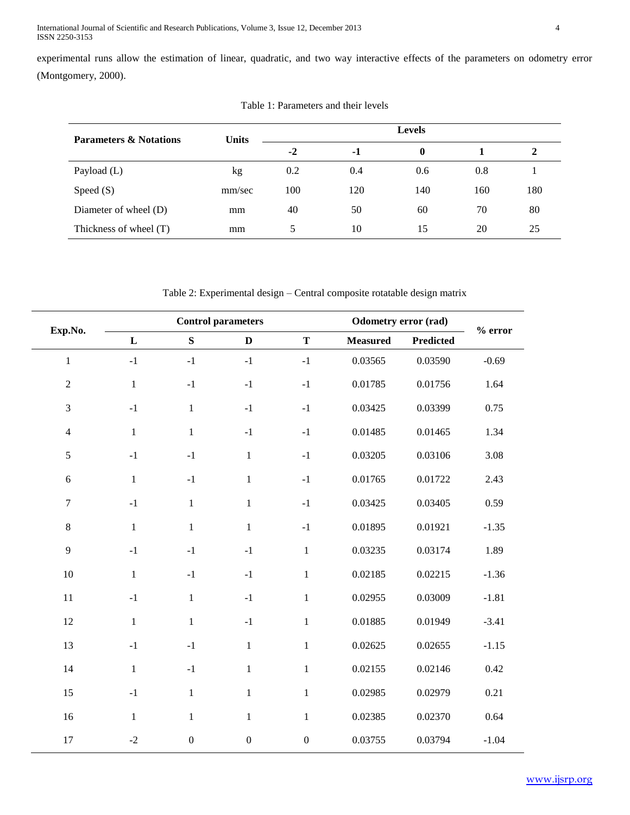experimental runs allow the estimation of linear, quadratic, and two way interactive effects of the parameters on odometry error (Montgomery, 2000).

| <b>Parameters &amp; Notations</b> | <b>Units</b> |      |     |     |     |     |
|-----------------------------------|--------------|------|-----|-----|-----|-----|
|                                   |              | $-2$ | -1  |     |     |     |
| Payload (L)                       | kg           | 0.2  | 0.4 | 0.6 | 0.8 |     |
| Speed $(S)$                       | mm/sec       | 100  | 120 | 140 | 160 | 180 |
| Diameter of wheel (D)             | mm           | 40   | 50  | 60  | 70  | 80  |
| Thickness of wheel (T)            | mm           | 5    | 10  | 15  | 20  | 25  |

Table 1: Parameters and their levels

Table 2: Experimental design – Central composite rotatable design matrix

|                  |              |                | <b>Control parameters</b> |                  | <b>Odometry error (rad)</b> |                  |           |
|------------------|--------------|----------------|---------------------------|------------------|-----------------------------|------------------|-----------|
| Exp.No.          | ${\bf L}$    | ${\bf S}$      | $\mathbf{D}$              | $\mathbf T$      | <b>Measured</b>             | <b>Predicted</b> | $%$ error |
| $\mathbf{1}$     | $-1$         | $-1$           | $-1$                      | $-1$             | 0.03565                     | 0.03590          | $-0.69$   |
| $\sqrt{2}$       | $\mathbf{1}$ | $-1$           | $-1$                      | $-1$             | 0.01785                     | 0.01756          | 1.64      |
| $\mathfrak{Z}$   | $-1$         | $\,1\,$        | $-1$                      | $-1$             | 0.03425                     | 0.03399          | 0.75      |
| $\overline{4}$   | $\mathbf{1}$ | $\mathbf 1$    | $-1$                      | $^{\rm -1}$      | 0.01485                     | 0.01465          | 1.34      |
| $\sqrt{5}$       | $-1$         | $-1$           | $\mathbf{1}$              | $-1$             | 0.03205                     | 0.03106          | 3.08      |
| $6\,$            | $\mathbf{1}$ | $-1$           | $\mathbf{1}$              | $-1$             | 0.01765                     | 0.01722          | 2.43      |
| $\boldsymbol{7}$ | $^{\rm -1}$  | $\mathbf 1$    | $\mathbf{1}$              | $-1$             | 0.03425                     | 0.03405          | 0.59      |
| $\,8\,$          | $\mathbf{1}$ | $\,1\,$        | $\mathbf{1}$              | $^{\rm -1}$      | 0.01895                     | 0.01921          | $-1.35$   |
| 9                | $-1$         | $-1$           | $-1$                      | $\mathbf{1}$     | 0.03235                     | 0.03174          | 1.89      |
| 10               | $\mathbf{1}$ | $-1$           | $-1$                      | $\mathbf{1}$     | 0.02185                     | 0.02215          | $-1.36$   |
| 11               | $^{\rm -1}$  | $\mathbf{1}$   | $-1$                      | $\mathbf{1}$     | 0.02955                     | 0.03009          | $-1.81$   |
| 12               | $\mathbf{1}$ | $\mathbf{1}$   | $-1$                      | $\mathbf{1}$     | 0.01885                     | 0.01949          | $-3.41$   |
| 13               | $^{\rm -1}$  | $-1$           | $\mathbf{1}$              | $\mathbf{1}$     | 0.02625                     | 0.02655          | $-1.15$   |
| 14               | $\mathbf{1}$ | $-1$           | $\mathbf{1}$              | $\mathbf{1}$     | 0.02155                     | 0.02146          | 0.42      |
| 15               | $^{\rm -1}$  | $\mathbf{1}$   | $\mathbf{1}$              | $\mathbf{1}$     | 0.02985                     | 0.02979          | 0.21      |
| 16               | $\mathbf{1}$ | $\mathbf{1}$   | $\mathbf{1}$              | $\mathbf{1}$     | 0.02385                     | 0.02370          | 0.64      |
| 17               | $-2$         | $\overline{0}$ | $\mathbf{0}$              | $\boldsymbol{0}$ | 0.03755                     | 0.03794          | $-1.04$   |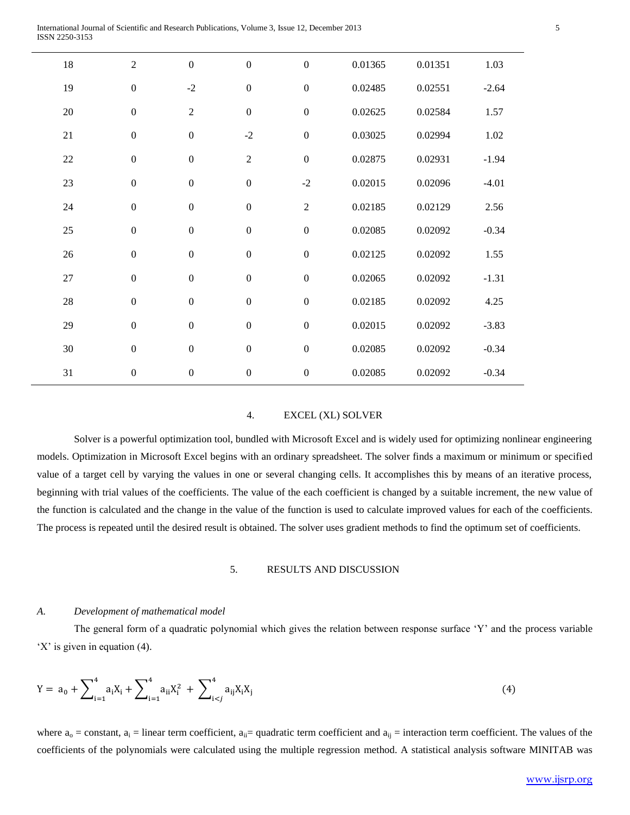| $18\,$ | $\sqrt{2}$       | $\boldsymbol{0}$ | $\overline{0}$   | $\boldsymbol{0}$ | 0.01365 | 0.01351 | 1.03     |
|--------|------------------|------------------|------------------|------------------|---------|---------|----------|
| 19     | $\boldsymbol{0}$ | $-2$             | $\boldsymbol{0}$ | $\boldsymbol{0}$ | 0.02485 | 0.02551 | $-2.64$  |
| $20\,$ | $\boldsymbol{0}$ | $\overline{2}$   | $\boldsymbol{0}$ | $\boldsymbol{0}$ | 0.02625 | 0.02584 | 1.57     |
| $21\,$ | $\boldsymbol{0}$ | $\overline{0}$   | $-2$             | $\boldsymbol{0}$ | 0.03025 | 0.02994 | $1.02\,$ |
| 22     | $\boldsymbol{0}$ | $\boldsymbol{0}$ | $\sqrt{2}$       | $\boldsymbol{0}$ | 0.02875 | 0.02931 | $-1.94$  |
| $23\,$ | $\boldsymbol{0}$ | $\boldsymbol{0}$ | $\boldsymbol{0}$ | $-2$             | 0.02015 | 0.02096 | $-4.01$  |
| 24     | $\boldsymbol{0}$ | $\boldsymbol{0}$ | $\overline{0}$   | $\boldsymbol{2}$ | 0.02185 | 0.02129 | 2.56     |
| 25     | $\boldsymbol{0}$ | $\boldsymbol{0}$ | $\boldsymbol{0}$ | $\boldsymbol{0}$ | 0.02085 | 0.02092 | $-0.34$  |
| 26     | $\boldsymbol{0}$ | $\boldsymbol{0}$ | $\boldsymbol{0}$ | $\boldsymbol{0}$ | 0.02125 | 0.02092 | 1.55     |
| $27\,$ | $\boldsymbol{0}$ | $\boldsymbol{0}$ | $\overline{0}$   | $\boldsymbol{0}$ | 0.02065 | 0.02092 | $-1.31$  |
| 28     | $\boldsymbol{0}$ | $\boldsymbol{0}$ | $\boldsymbol{0}$ | $\boldsymbol{0}$ | 0.02185 | 0.02092 | 4.25     |
| 29     | $\boldsymbol{0}$ | $\boldsymbol{0}$ | $\boldsymbol{0}$ | $\boldsymbol{0}$ | 0.02015 | 0.02092 | $-3.83$  |
| 30     | $\boldsymbol{0}$ | $\boldsymbol{0}$ | $\boldsymbol{0}$ | $\boldsymbol{0}$ | 0.02085 | 0.02092 | $-0.34$  |
| 31     | $\boldsymbol{0}$ | $\boldsymbol{0}$ | $\boldsymbol{0}$ | $\boldsymbol{0}$ | 0.02085 | 0.02092 | $-0.34$  |

#### 4. EXCEL (XL) SOLVER

Solver is a powerful optimization tool, bundled with Microsoft Excel and is widely used for optimizing nonlinear engineering models. Optimization in Microsoft Excel begins with an ordinary spreadsheet. The solver finds a maximum or minimum or specified value of a target cell by varying the values in one or several changing cells. It accomplishes this by means of an iterative process, beginning with trial values of the coefficients. The value of the each coefficient is changed by a suitable increment, the new value of the function is calculated and the change in the value of the function is used to calculate improved values for each of the coefficients. The process is repeated until the desired result is obtained. The solver uses gradient methods to find the optimum set of coefficients.

#### 5. RESULTS AND DISCUSSION

#### *A. Development of mathematical model*

The general form of a quadratic polynomial which gives the relation between response surface 'Y' and the process variable 'X' is given in equation (4).

$$
Y = a_0 + \sum_{i=1}^{4} a_i X_i + \sum_{i=1}^{4} a_{ii} X_i^2 + \sum_{i < j}^{4} a_{ij} X_i X_j \tag{4}
$$

where  $a_0$  = constant,  $a_i$  = linear term coefficient,  $a_{ii}$  = quadratic term coefficient and  $a_{ii}$  = interaction term coefficient. The values of the coefficients of the polynomials were calculated using the multiple regression method. A statistical analysis software MINITAB was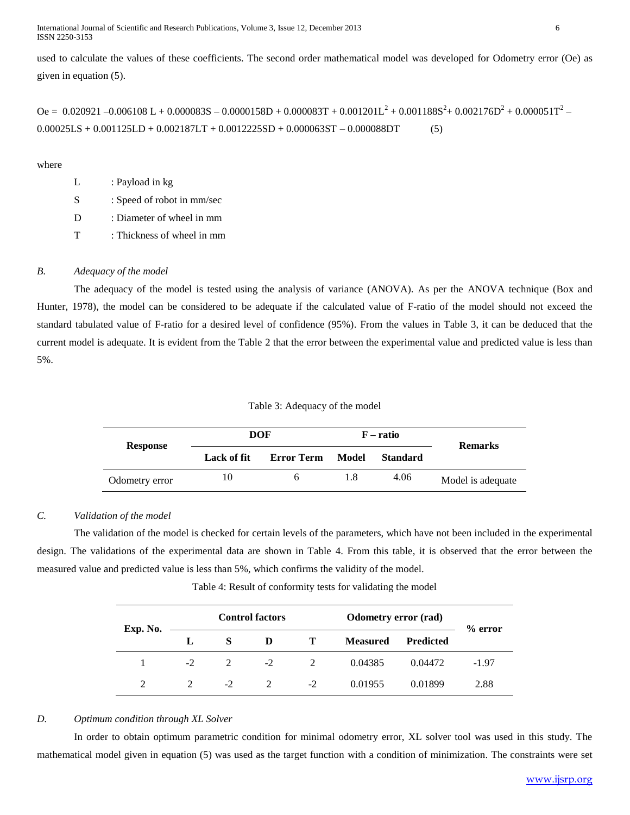International Journal of Scientific and Research Publications, Volume 3, Issue 12, December 2013 6 ISSN 2250-3153

used to calculate the values of these coefficients. The second order mathematical model was developed for Odometry error (Oe) as given in equation (5).

Oe = 0.020921 -0.006108 L + 0.000083S - 0.0000158D + 0.000083T + 0.001201L<sup>2</sup> + 0.001188S<sup>2</sup>+ 0.002176D<sup>2</sup> + 0.000051T<sup>2</sup> - $0.00025LS + 0.001125LD + 0.002187LT + 0.0012225SD + 0.000063ST - 0.000088DT$  (5)

where

| L | : Payload in kg |  |
|---|-----------------|--|
|   |                 |  |

S : Speed of robot in mm/sec

D : Diameter of wheel in mm

T : Thickness of wheel in mm

## *B. Adequacy of the model*

The adequacy of the model is tested using the analysis of variance (ANOVA). As per the ANOVA technique (Box and Hunter, 1978), the model can be considered to be adequate if the calculated value of F-ratio of the model should not exceed the standard tabulated value of F-ratio for a desired level of confidence (95%). From the values in Table 3, it can be deduced that the current model is adequate. It is evident from the Table 2 that the error between the experimental value and predicted value is less than 5%.

## Table 3: Adequacy of the model

| Response       | <b>DOF</b>  |            |       | $F - ratio$     | <b>Remarks</b>    |  |
|----------------|-------------|------------|-------|-----------------|-------------------|--|
|                | Lack of fit | Error Term | Model | <b>Standard</b> |                   |  |
| Odometry error | 10          | n.         |       | 4.06            | Model is adequate |  |

# *C. Validation of the model*

The validation of the model is checked for certain levels of the parameters, which have not been included in the experimental design. The validations of the experimental data are shown in Table 4. From this table, it is observed that the error between the measured value and predicted value is less than 5%, which confirms the validity of the model.

Table 4: Result of conformity tests for validating the model

| Exp. No. |      |      | <b>Control factors</b> |      | <b>Odometry error (rad)</b> | $%$ error        |         |  |  |
|----------|------|------|------------------------|------|-----------------------------|------------------|---------|--|--|
|          | L    |      | D                      |      | <b>Measured</b>             | <b>Predicted</b> |         |  |  |
|          | $-2$ | 2    | $-2$                   |      | 0.04385                     | 0.04472          | $-1.97$ |  |  |
|          |      | $-2$ |                        | $-2$ | 0.01955                     | 0.01899          | 2.88    |  |  |

## *D. Optimum condition through XL Solver*

In order to obtain optimum parametric condition for minimal odometry error, XL solver tool was used in this study. The mathematical model given in equation (5) was used as the target function with a condition of minimization. The constraints were set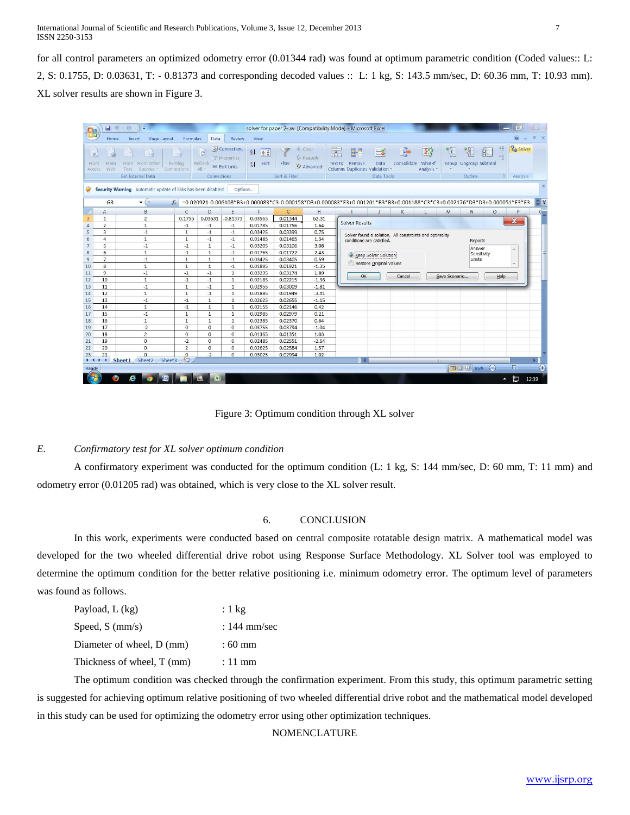for all control parameters an optimized odometry error (0.01344 rad) was found at optimum parametric condition (Coded values:: L: 2, S: 0.1755, D: 0.03631, T: - 0.81373 and corresponding decoded values :: L: 1 kg, S: 143.5 mm/sec, D: 60.36 mm, T: 10.93 mm). XL solver results are shown in Figure 3.

|                                                                                                                                                                                                                                                                |                               | 日町・田・<br>÷.                        |                              |                         |                                                   |                                                         | solver for paper 2- xv [Compatibility Mode] - Microsoft Excel |                                                  |                                 |                                                |                           |                                                         |                           |               |                             |             | 同<br>-                   |                     |
|----------------------------------------------------------------------------------------------------------------------------------------------------------------------------------------------------------------------------------------------------------------|-------------------------------|------------------------------------|------------------------------|-------------------------|---------------------------------------------------|---------------------------------------------------------|---------------------------------------------------------------|--------------------------------------------------|---------------------------------|------------------------------------------------|---------------------------|---------------------------------------------------------|---------------------------|---------------|-----------------------------|-------------|--------------------------|---------------------|
|                                                                                                                                                                                                                                                                | Home                          | Page Layout<br>Insert              | Formulas                     | Data                    | <b>Review</b>                                     | View                                                    |                                                               |                                                  |                                 |                                                |                           |                                                         |                           |               |                             |             | $\circledcirc$           | X                   |
|                                                                                                                                                                                                                                                                | From<br>From<br>Web<br>Access | From From Other<br>Sources<br>Text | п<br>Existing<br>Connections | e<br>Refresh<br>$All -$ | Connections<br>Properties<br><b>BR</b> Edit Links | $\frac{A}{Z}$<br>$\frac{A}{Z}$<br>Sort<br>$\frac{7}{4}$ | Filter                                                        | <b>K</b> Clear<br><b>K</b> Reapply<br>V Advanced | $\frac{1}{\sqrt{2}}$<br>Text to | H<br>Remove<br>Columns Duplicates Validation * | Eš<br>Data                | B.<br>Consolidate                                       | E?<br>What-If<br>Analysis | Ŧ             | 瞿<br>Group Ungroup Subtotal | 副           | 悍<br>ωż.                 | <sup>2</sup> solver |
|                                                                                                                                                                                                                                                                |                               | Get External Data                  |                              | Connections             |                                                   |                                                         | Sort & Filter                                                 |                                                  |                                 |                                                | Data Tools                |                                                         |                           |               | Outline                     |             | $\overline{\mathrm{Na}}$ | Analysis            |
| $\times$<br>Security Warning Automatic update of links has been disabled<br>Options<br>O<br>Ç ¥<br>$ (2)$<br>G <sub>3</sub><br>$f_x$<br>=0.020921-0.006108*B3+0.000083*C3-0.000158*D3+0.000083*E3+0.001201*B3*B3+0.001188*C3*C3+0.002176*D3*D3+0.000051*E3*E3- |                               |                                    |                              |                         |                                                   |                                                         |                                                               |                                                  |                                 |                                                |                           |                                                         |                           |               |                             |             |                          |                     |
|                                                                                                                                                                                                                                                                |                               |                                    |                              |                         |                                                   |                                                         |                                                               |                                                  |                                 |                                                |                           |                                                         |                           |               |                             |             |                          |                     |
|                                                                                                                                                                                                                                                                | A                             | B                                  | $\mathsf{C}$                 | D                       | E.                                                | F                                                       | G                                                             | H                                                |                                 |                                                |                           | К                                                       |                           | M             | N                           | $\circ$     | P                        |                     |
| 3                                                                                                                                                                                                                                                              | $\mathbf{1}$                  | $\overline{2}$                     | 0.1755                       | 0.03631                 | $-0.81373$                                        | 0.03565                                                 | 0.01344                                                       | 62.31                                            |                                 | <b>Solver Results</b>                          |                           |                                                         |                           |               |                             |             | $\mathbf{x}$             |                     |
| $\overline{4}$                                                                                                                                                                                                                                                 | $\overline{2}$                | $\mathbf{1}$                       | $-1$                         | $-1$                    | $-1$                                              | 0.01785                                                 | 0.01756                                                       | 1.64                                             |                                 |                                                |                           |                                                         |                           |               |                             |             |                          |                     |
| 5                                                                                                                                                                                                                                                              | $\overline{3}$                | $-1$                               | $\mathbf{1}$                 | $-1$                    | $-1$                                              | 0.03425                                                 | 0.03399                                                       | 0.75                                             |                                 |                                                |                           | Solver found a solution. All constraints and optimality |                           |               |                             |             |                          |                     |
| 6                                                                                                                                                                                                                                                              | $\overline{4}$                | 1                                  | $\mathbf{1}$                 | $-1$                    | $-1$                                              | 0.01485                                                 | 0.01465                                                       | 1.34                                             |                                 |                                                | conditions are satisfied. |                                                         |                           |               | Reports                     |             |                          |                     |
| $\overline{7}$                                                                                                                                                                                                                                                 | 5                             | $-1$                               | $-1$                         | $\overline{1}$          | $-1$                                              | 0.03205                                                 | 0.03106                                                       | 3.08                                             |                                 |                                                |                           |                                                         |                           |               | Answer                      |             | $\mathbb{A}$             |                     |
| 8                                                                                                                                                                                                                                                              | 6                             | $\mathbf{1}$                       | $-1$                         | $\mathbf{1}$            | $-1$                                              | 0.01765                                                 | 0.01722                                                       | 2.43                                             |                                 |                                                | Keep Solver Solution      |                                                         |                           |               |                             | Sensitivity |                          |                     |
| 9                                                                                                                                                                                                                                                              | $\overline{7}$                | $-1$                               | $\mathbf{1}$                 | $\mathbf{1}$            | $-1$                                              | 0.03425                                                 | 0.03405                                                       | 0.59                                             |                                 |                                                | Restore Original Values   |                                                         |                           |               | <b>Limits</b>               |             |                          |                     |
| 10                                                                                                                                                                                                                                                             | 8                             | $\mathbf{1}$                       | $\mathbf{1}$                 | $\mathbf{1}$            | $-1$                                              | 0.01895                                                 | 0.01921                                                       | $-1.35$                                          |                                 |                                                |                           |                                                         |                           |               |                             |             |                          |                     |
| 11                                                                                                                                                                                                                                                             | $\overline{9}$                | $-1$                               | $-1$                         | $-1$                    | $\mathbf{1}$                                      | 0.03235                                                 | 0.03174                                                       | 1.89                                             |                                 | OK                                             |                           | Cancel                                                  |                           | Save Scenario |                             |             | Help                     |                     |
| 12                                                                                                                                                                                                                                                             | 10                            | $\mathbf{1}$                       | $-1$                         | $-1$                    | $\mathbf{1}$                                      | 0.02185                                                 | 0.02215                                                       | $-1.36$                                          |                                 |                                                |                           |                                                         |                           |               |                             |             |                          |                     |
| 13                                                                                                                                                                                                                                                             | 11                            | $-1$                               | $\mathbf{1}$                 | $-1$                    | $\mathbf{1}$                                      | 0.02955                                                 | 0.03009                                                       | $-1.81$                                          |                                 |                                                |                           |                                                         |                           |               |                             |             |                          |                     |
| 14                                                                                                                                                                                                                                                             | 12                            | $\mathbf{1}$                       | $\mathbf{1}$                 | $-1$                    | $\mathbf{1}$                                      | 0.01885                                                 | 0.01949                                                       | $-3.41$                                          |                                 |                                                |                           |                                                         |                           |               |                             |             |                          |                     |
| 15                                                                                                                                                                                                                                                             | 13                            | $-1$                               | $-1$                         | $\mathbf{1}$            | $\mathbf{1}$                                      | 0.02625                                                 | 0.02655                                                       | $-1.15$                                          |                                 |                                                |                           |                                                         |                           |               |                             |             |                          |                     |
| 16                                                                                                                                                                                                                                                             | 14                            | $\mathbf{1}$                       | $-1$                         | $\overline{1}$          | $\mathbf{1}$                                      | 0.02155                                                 | 0.02146                                                       | 0.42                                             |                                 |                                                |                           |                                                         |                           |               |                             |             |                          |                     |
| 17                                                                                                                                                                                                                                                             | 15                            | $-1$                               | $\mathbf{1}$                 | $\mathbf{1}$            | $\mathbf{1}$                                      | 0.02985                                                 | 0.02979                                                       | 0.21                                             |                                 |                                                |                           |                                                         |                           |               |                             |             |                          |                     |
| 18                                                                                                                                                                                                                                                             | 16                            | $\mathbf{1}$                       | $\mathbf{1}$                 | $\mathbf{1}$            | 1                                                 | 0.02385                                                 | 0.02370                                                       | 0.64                                             |                                 |                                                |                           |                                                         |                           |               |                             |             |                          |                     |
| 19                                                                                                                                                                                                                                                             | 17                            | $-2$                               | $\mathbf{0}$                 | $\overline{0}$          | $\mathbf 0$                                       | 0.03755                                                 | 0.03794                                                       | $-1.04$                                          |                                 |                                                |                           |                                                         |                           |               |                             |             |                          |                     |
| 20                                                                                                                                                                                                                                                             | 18                            | $\overline{2}$                     | $\circ$                      | $\mathbf 0$             | $\mathbf 0$                                       | 0.01365                                                 | 0.01351                                                       | 1.03                                             |                                 |                                                |                           |                                                         |                           |               |                             |             |                          |                     |
| 21                                                                                                                                                                                                                                                             | 19                            | $\mathbf{0}$                       | $-2$                         | $\overline{0}$          | $\mathbf{0}$                                      | 0.02485                                                 | 0.02551                                                       | $-2.64$                                          |                                 |                                                |                           |                                                         |                           |               |                             |             |                          |                     |
| 22                                                                                                                                                                                                                                                             | 20                            | $\Omega$                           | $\overline{2}$               | $\mathbf 0$             | $\mathbf{0}$                                      | 0.02625                                                 | 0.02584                                                       | 1.57                                             |                                 |                                                |                           |                                                         |                           |               |                             |             |                          |                     |
| 23                                                                                                                                                                                                                                                             | 21                            | $\Omega$                           | $\mathbf{0}$                 | $-2$                    | $\mathbf{0}$                                      | 0.03025                                                 | 0.02994                                                       | 1.02                                             |                                 |                                                |                           |                                                         |                           |               |                             |             |                          |                     |
| $14 - 4$                                                                                                                                                                                                                                                       | $\blacktriangleright$         | Sheet3<br>Sheet1 Sheet2            | ☜                            |                         |                                                   |                                                         |                                                               |                                                  |                                 |                                                |                           |                                                         |                           | <b>HILL</b>   |                             |             |                          |                     |
| Ready                                                                                                                                                                                                                                                          |                               |                                    |                              |                         |                                                   |                                                         |                                                               |                                                  |                                 |                                                |                           |                                                         |                           |               | 田回 四 85% (一)                |             | -U                       | $\bigoplus$         |
|                                                                                                                                                                                                                                                                |                               | е                                  |                              | 曆                       |                                                   |                                                         |                                                               |                                                  |                                 |                                                |                           |                                                         |                           |               |                             |             | ្ង<br>$\blacktriangle$   | 12:39               |

Figure 3: Optimum condition through XL solver

## *E. Confirmatory test for XL solver optimum condition*

A confirmatory experiment was conducted for the optimum condition (L: 1 kg, S: 144 mm/sec, D: 60 mm, T: 11 mm) and odometry error (0.01205 rad) was obtained, which is very close to the XL solver result.

## 6. CONCLUSION

In this work, experiments were conducted based on central composite rotatable design matrix. A mathematical model was developed for the two wheeled differential drive robot using Response Surface Methodology. XL Solver tool was employed to determine the optimum condition for the better relative positioning i.e. minimum odometry error. The optimum level of parameters was found as follows.

| Payload, $L$ (kg)          | $:1 \text{ kg}$  |
|----------------------------|------------------|
| Speed, $S$ (mm/s)          | $: 144$ mm/sec   |
| Diameter of wheel, D (mm)  | $:60 \text{ mm}$ |
| Thickness of wheel, T (mm) | $: 11$ mm        |
|                            |                  |

The optimum condition was checked through the confirmation experiment. From this study, this optimum parametric setting is suggested for achieving optimum relative positioning of two wheeled differential drive robot and the mathematical model developed in this study can be used for optimizing the odometry error using other optimization techniques.

## NOMENCLATURE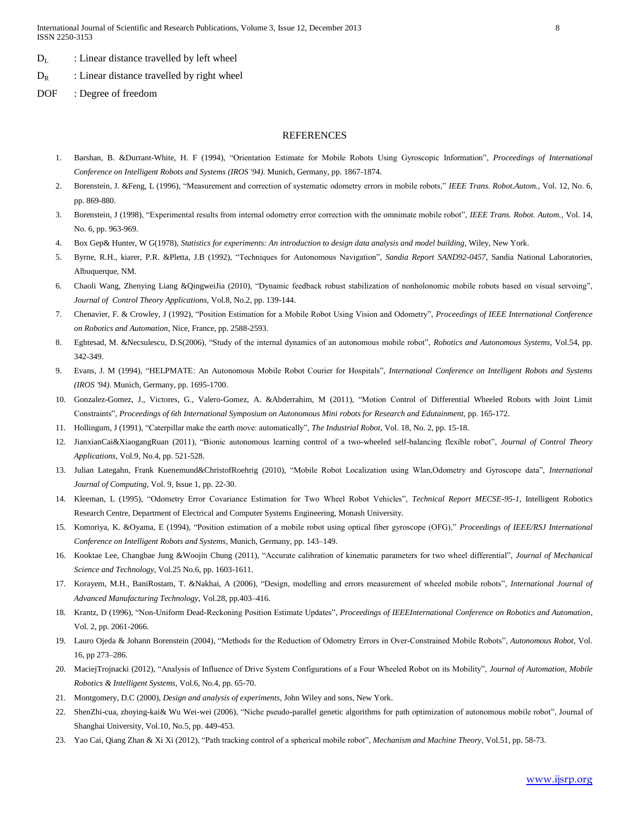- $D_L$  : Linear distance travelled by left wheel
- $D_R$  : Linear distance travelled by right wheel
- DOF : Degree of freedom

#### REFERENCES

- 1. Barshan, B. &Durrant-White, H. F (1994) "Orientation Estimate for Mobile Robots Using Gyroscopic Information" *Proceedings of International Conference on Intelligent Robots and Systems (IROS '94)*. Munich, Germany, pp. 1867-1874.
- 2. Borenstein, J. &Feng, L (1996), "Measurement and correction of systematic odometry errors in mobile robots," IEEE Trans. Robot.Autom., Vol. 12, No. 6, pp. 869-880.
- 3. Borenstein, J (1998) "Experimental results from internal odometry error correction with the omnimate mobile robot" *IEEE Trans. Robot. Autom.*, Vol. 14, No. 6, pp. 963-969.
- 4. Box Gep& Hunter, W G(1978), *Statistics for experiments: An introduction to design data analysis and model building*, Wiley, New York.
- 5. Byrne, R.H., kiarer, P.R. &Pletta, J.B (1992) " echniques for Autonomous Navigation" *Sandia Report SAND92-0457*, Sandia National Laboratories, Albuquerque, NM.
- 6. Chaoli Wang, Zhenying Liang &QingweiJia (2010), "Dynamic feedback robust stabilization of nonholonomic mobile robots based on visual servoing", *Journal of Control Theory Applications,* Vol.8, No.2, pp. 139-144.
- 7. Chenavier, F. & Crowley, J (1992) "Position Estimation for a Mobile Robot Using Vision and Odometry" *Proceedings of IEEE International Conference on Robotics and Automation*, Nice, France, pp. 2588-2593.
- 8. Eghtesad, M. &Necsulescu, D.S(2006), "Study of the internal dynamics of an autonomous mobile robot", *Robotics and Autonomous Systems*, Vol.54, pp. 342-349.
- 9. Evans, J. M (1994) "HELPMATE: An Autonomous Mobile Robot Courier for Hospitals" *International Conference on Intelligent Robots and Systems (IROS '94)*. Munich, Germany, pp. 1695-1700.
- 10. Gonzalez-Gomez, J., Victores, G., Valero-Gomez, A. &Abderrahim, M (2011) "Motion Control of Differential Wheeled Robots with Joint Limit Constraints" *Proceedings of 6th International Symposium on Autonomous Mini robots for Research and Edutainment,* pp. 165-172.
- 11. Hollingum, J (1991) "Caterpillar make the earth move: automatically" *The Industrial Robot*, Vol. 18, No. 2, pp. 15-18.
- 12. JianxianCai&XiaogangRuan (2011) "Bionic autonomous learning control of a two-wheeled self-balancing flexible robot" *Journal of Control Theory Applications,* Vol.9, No.4, pp. 521-528.
- 13. Julian Lategahn, Frank Kuenemund&ChristofRoehrig (2010), "Mobile Robot Localization using Wlan,Odometry and Gyroscope data", International *Journal of Computing*, Vol. 9, Issue 1, pp. 22-30.
- 14. Kleeman, L (1995) "Odometry Error Covariance Estimation for wo Wheel Robot Vehicles" *Technical Report MECSE-95-1*, Intelligent Robotics Research Centre, Department of Electrical and Computer Systems Engineering, Monash University.
- 15. Komoriya, K. &Oyama, E (1994) "Position estimation of a mobile robot using optical fiber gyroscope (OFG) " *Proceedings of IEEE/RSJ International Conference on Intelligent Robots and Systems*, Munich, Germany, pp. 143–149.
- 16. Kooktae Lee, Changbae Jung &Woojin Chung (2011) "Accurate calibration of kinematic parameters for two wheel differential" *Journal of Mechanical Science and Technology*, Vol.25 No.6, pp. 1603-1611.
- 17. Korayem, M.H., BaniRostam, T. &Nakhai, A (2006), "Design, modelling and errors measurement of wheeled mobile robots", International Journal of *Advanced Manufacturing Technology*, Vol.28, pp.403–416.
- 18. Krantz, D (1996) "Non-Uniform Dead-Reckoning Position Estimate Updates"*, Proceedings of IEEEInternational Conference on Robotics and Automation*, Vol. 2, pp. 2061-2066.
- 19. Lauro Ojeda & Johann Borenstein (2004) "Methods for the Reduction of Odometry Errors in Over-Constrained Mobile Robots" *Autonomous Robot*, Vol. 16, pp 273–286.
- 20. MaciejTrojnacki (2012), "Analysis of Influence of Drive System Configurations of a Four Wheeled Robot on its Mobility", Journal of Automation, Mobile *Robotics & Intelligent Systems*, Vol.6, No.4, pp. 65-70.
- 21. Montgomery, D.C (2000), *Design and analysis of experiments*, John Wiley and sons, New York.
- 22. ShenZhi-cua, zhoying-kai& Wu Wei-wei (2006) "Niche pseudo-parallel genetic algorithms for path optimization of autonomous mobile robot" Journal of Shanghai University, Vol.10, No.5, pp. 449-453.
- 23. Yao Cai, Qiang Zhan & Xi Xi (2012) "Path tracking control of a spherical mobile robot" *Mechanism and Machine Theory*, Vol.51, pp. 58-73.